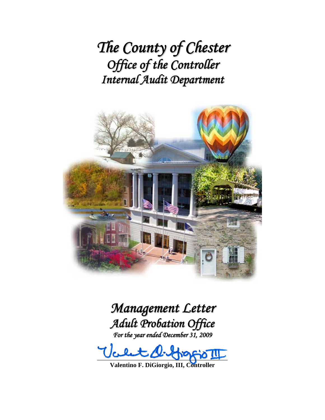*The County of Chester Office of the Controller Internal Audit Department*



# *Management Letter Adult Probation Office For the year ended December 31, 2009*

 $U$ cent  $\mathcal{Q}$ . there is  $\mathbb{I}\mathbb{I}$ 

**Valentino F. DiGiorgio, III, Controller**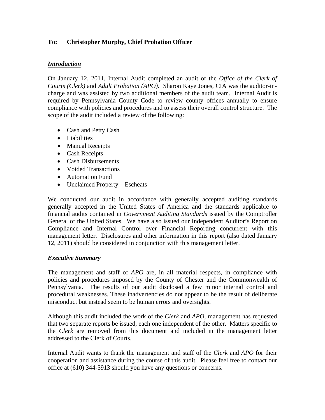# **To: Christopher Murphy, Chief Probation Officer**

# *Introduction*

On January 12, 2011, Internal Audit completed an audit of the *Office of the Clerk of Courts (Clerk)* and *Adult Probation (APO).* Sharon Kaye Jones, CIA was the auditor-incharge and was assisted by two additional members of the audit team. Internal Audit is required by Pennsylvania County Code to review county offices annually to ensure compliance with policies and procedures and to assess their overall control structure. The scope of the audit included a review of the following:

- Cash and Petty Cash
- Liabilities
- Manual Receipts
- Cash Receipts
- Cash Disbursements
- Voided Transactions
- Automation Fund
- Unclaimed Property Escheats

We conducted our audit in accordance with generally accepted auditing standards generally accepted in the United States of America and the standards applicable to financial audits contained in *Government Auditing Standards* issued by the Comptroller General of the United States. We have also issued our Independent Auditor's Report on Compliance and Internal Control over Financial Reporting concurrent with this management letter. Disclosures and other information in this report (also dated January 12, 2011) should be considered in conjunction with this management letter.

#### *Executive Summary*

The management and staff of *APO* are, in all material respects, in compliance with policies and procedures imposed by the County of Chester and the Commonwealth of Pennsylvania. The results of our audit disclosed a few minor internal control and procedural weaknesses. These inadvertencies do not appear to be the result of deliberate misconduct but instead seem to be human errors and oversights.

Although this audit included the work of the *Clerk* and *APO,* management has requested that two separate reports be issued, each one independent of the other. Matters specific to the *Clerk* are removed from this document and included in the management letter addressed to the Clerk of Courts.

Internal Audit wants to thank the management and staff of the *Clerk* and *APO* for their cooperation and assistance during the course of this audit. Please feel free to contact our office at (610) 344-5913 should you have any questions or concerns.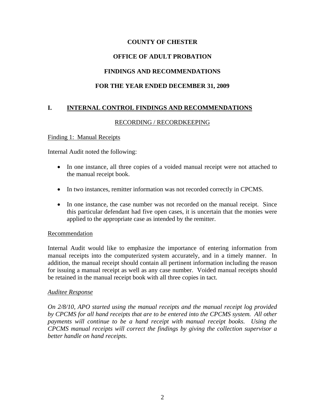# **OFFICE OF ADULT PROBATION**

# **FINDINGS AND RECOMMENDATIONS**

# **FOR THE YEAR ENDED DECEMBER 31, 2009**

# **I. INTERNAL CONTROL FINDINGS AND RECOMMENDATIONS**

# RECORDING / RECORDKEEPING

#### Finding 1: Manual Receipts

Internal Audit noted the following:

- In one instance, all three copies of a voided manual receipt were not attached to the manual receipt book.
- In two instances, remitter information was not recorded correctly in CPCMS.
- In one instance, the case number was not recorded on the manual receipt. Since this particular defendant had five open cases, it is uncertain that the monies were applied to the appropriate case as intended by the remitter.

#### Recommendation

Internal Audit would like to emphasize the importance of entering information from manual receipts into the computerized system accurately, and in a timely manner. In addition, the manual receipt should contain all pertinent information including the reason for issuing a manual receipt as well as any case number. Voided manual receipts should be retained in the manual receipt book with all three copies in tact.

#### *Auditee Response*

*On 2/8/10, APO started using the manual receipts and the manual receipt log provided by CPCMS for all hand receipts that are to be entered into the CPCMS system. All other*  payments will continue to be a hand receipt with manual receipt books. Using the *CPCMS manual receipts will correct the findings by giving the collection supervisor a better handle on hand receipts.*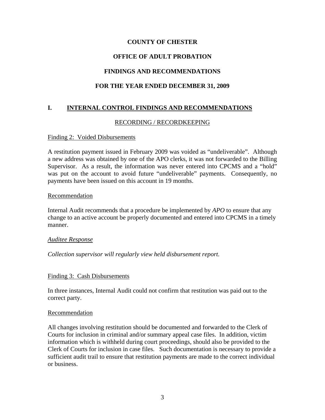# **OFFICE OF ADULT PROBATION**

# **FINDINGS AND RECOMMENDATIONS**

# **FOR THE YEAR ENDED DECEMBER 31, 2009**

# **I. INTERNAL CONTROL FINDINGS AND RECOMMENDATIONS**

## RECORDING / RECORDKEEPING

#### Finding 2: Voided Disbursements

A restitution payment issued in February 2009 was voided as "undeliverable". Although a new address was obtained by one of the APO clerks, it was not forwarded to the Billing Supervisor. As a result, the information was never entered into CPCMS and a "hold" was put on the account to avoid future "undeliverable" payments. Consequently, no payments have been issued on this account in 19 months.

#### Recommendation

Internal Audit recommends that a procedure be implemented by *APO* to ensure that any change to an active account be properly documented and entered into CPCMS in a timely manner.

#### *Auditee Response*

*Collection supervisor will regularly view held disbursement report.* 

#### Finding 3: Cash Disbursements

In three instances, Internal Audit could not confirm that restitution was paid out to the correct party.

#### Recommendation

All changes involving restitution should be documented and forwarded to the Clerk of Courts for inclusion in criminal and/or summary appeal case files. In addition, victim information which is withheld during court proceedings, should also be provided to the Clerk of Courts for inclusion in case files. Such documentation is necessary to provide a sufficient audit trail to ensure that restitution payments are made to the correct individual or business.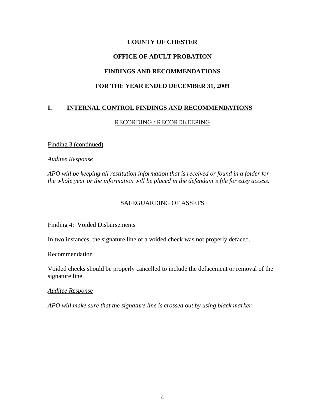# **OFFICE OF ADULT PROBATION**

## **FINDINGS AND RECOMMENDATIONS**

# **FOR THE YEAR ENDED DECEMBER 31, 2009**

# **I. INTERNAL CONTROL FINDINGS AND RECOMMENDATIONS**

## RECORDING / RECORDKEEPING

#### Finding 3 (continued)

#### *Auditee Response*

*APO will be keeping all restitution information that is received or found in a folder for the whole year or the information will be placed in the defendant's file for easy access.* 

# SAFEGUARDING OF ASSETS

#### Finding 4: Voided Disbursements

In two instances, the signature line of a voided check was not properly defaced.

#### Recommendation

Voided checks should be properly cancelled to include the defacement or removal of the signature line.

#### *Auditee Response*

*APO will make sure that the signature line is crossed out by using black marker.*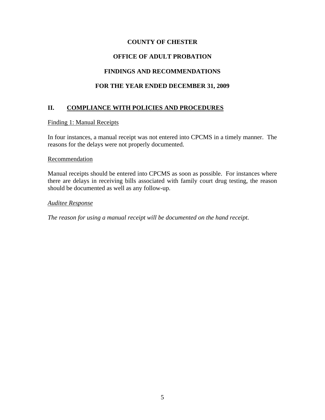# **OFFICE OF ADULT PROBATION**

# **FINDINGS AND RECOMMENDATIONS**

# **FOR THE YEAR ENDED DECEMBER 31, 2009**

# **II. COMPLIANCE WITH POLICIES AND PROCEDURES**

#### Finding 1: Manual Receipts

In four instances, a manual receipt was not entered into CPCMS in a timely manner. The reasons for the delays were not properly documented.

#### Recommendation

Manual receipts should be entered into CPCMS as soon as possible. For instances where there are delays in receiving bills associated with family court drug testing, the reason should be documented as well as any follow-up.

#### *Auditee Response*

*The reason for using a manual receipt will be documented on the hand receipt.*